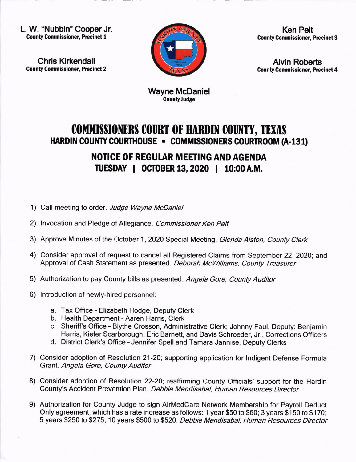L. W. "Nubbin" Cooper Jr. Gounty Gommissioner, Precinct I

Chris Kirkendall **County Commissioner, Precinct 2** 



Ken Pelt County Commissioner, Precinct 3

Alvin Roberts **County Commissioner, Precinct 4** 

Wayne McDaniel County Judge

## COMMISSIONERS COURT OF HARDIN COUNTY, TEXAS HARDIN COUNTY COURTHOUSE - COMMISSIONERS COURTROOM (A-131)

## NOTICE OF REGUIAR MEETING AND AGENDA ruESDAY I 0CIOBER 13,2020 ! 10:00A.M.

- 1) Call meeting to order. Judge Wayne McDaniel
- 2) Invocation and Pledge of Allegiance. Commissioner Ken Pelt
- 3) Approve Minutes of the October 1, 2020 Special Meeting. Glenda Alston, County Clerk
- 4) Consider approval of request to cancel all Registered Claims from September 22,2020; and Approval of Cash Statement as presented. Deborah McWilliams, County Treasurer
- 5) Authorization to pay County bills as presented. Angela Gore, County Auditor
- 6) lntroduction of newly-hired personnel:
	- a. Tax Office Elizabeth Hodge, Deputy Clerk
	- b. Health Department Aaren Harris, Clerk
	- c. Sheriff's Office Blythe Crosson, Administrative Clerk; Johnny Faul, Deputy; Benjamin Harris, Kiefer Scarborough, Eric Barnett, and Davis Schroeder, Jr., Corrections Officers
	- d. District Clerk's Office Jennifer Spell and Tamara Jannise, Deputy Clerks
- 7) Consider adoption of Resolution 21-20; supporting application for lndigent Defense Formula Grant. Angela Gore, County Auditor
- 8) Consider adoption of Resolution 22-20; reaffirming County Officials' support for the Hardin County's Accident Prevention Plan. Debbie Mendisabal, Human Resources Director
- 9) Authorization for County Judge to sign AirMedCare Network Membership for Payroll Deduct Only agreement, which has a rate increase as follows: 1 year \$50 to \$60; 3 years \$150 to \$1 70; 5 years \$250 to \$275; 10 years \$500 to \$520. Debbie Mendisabat, Human Resources Director